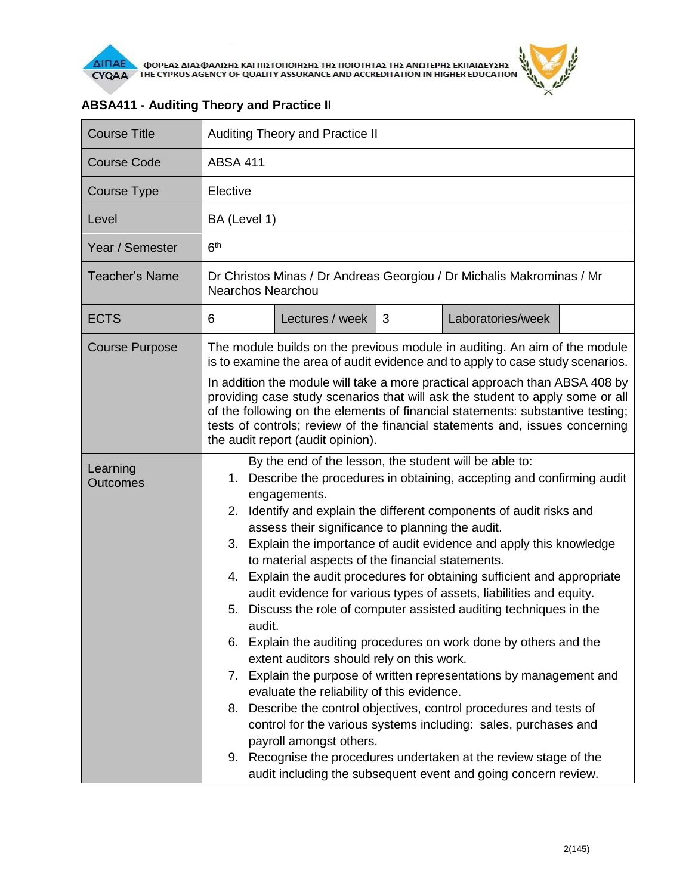

| <b>Course Title</b>         | Auditing Theory and Practice II                                                                                                                                                                                                                                                                                                                                                                                                                                                                                                                                                                                                                                                                                                                                                                                                                                                                                                                                                                                                                                                                                                                                                                                |  |  |  |
|-----------------------------|----------------------------------------------------------------------------------------------------------------------------------------------------------------------------------------------------------------------------------------------------------------------------------------------------------------------------------------------------------------------------------------------------------------------------------------------------------------------------------------------------------------------------------------------------------------------------------------------------------------------------------------------------------------------------------------------------------------------------------------------------------------------------------------------------------------------------------------------------------------------------------------------------------------------------------------------------------------------------------------------------------------------------------------------------------------------------------------------------------------------------------------------------------------------------------------------------------------|--|--|--|
| <b>Course Code</b>          | <b>ABSA 411</b>                                                                                                                                                                                                                                                                                                                                                                                                                                                                                                                                                                                                                                                                                                                                                                                                                                                                                                                                                                                                                                                                                                                                                                                                |  |  |  |
| Course Type                 | Elective                                                                                                                                                                                                                                                                                                                                                                                                                                                                                                                                                                                                                                                                                                                                                                                                                                                                                                                                                                                                                                                                                                                                                                                                       |  |  |  |
| Level                       | BA (Level 1)                                                                                                                                                                                                                                                                                                                                                                                                                                                                                                                                                                                                                                                                                                                                                                                                                                                                                                                                                                                                                                                                                                                                                                                                   |  |  |  |
| Year / Semester             | 6 <sup>th</sup>                                                                                                                                                                                                                                                                                                                                                                                                                                                                                                                                                                                                                                                                                                                                                                                                                                                                                                                                                                                                                                                                                                                                                                                                |  |  |  |
| <b>Teacher's Name</b>       | Dr Christos Minas / Dr Andreas Georgiou / Dr Michalis Makrominas / Mr<br><b>Nearchos Nearchou</b>                                                                                                                                                                                                                                                                                                                                                                                                                                                                                                                                                                                                                                                                                                                                                                                                                                                                                                                                                                                                                                                                                                              |  |  |  |
| <b>ECTS</b>                 | Lectures / week<br>3<br>Laboratories/week<br>6                                                                                                                                                                                                                                                                                                                                                                                                                                                                                                                                                                                                                                                                                                                                                                                                                                                                                                                                                                                                                                                                                                                                                                 |  |  |  |
| <b>Course Purpose</b>       | The module builds on the previous module in auditing. An aim of the module<br>is to examine the area of audit evidence and to apply to case study scenarios.                                                                                                                                                                                                                                                                                                                                                                                                                                                                                                                                                                                                                                                                                                                                                                                                                                                                                                                                                                                                                                                   |  |  |  |
|                             | In addition the module will take a more practical approach than ABSA 408 by<br>providing case study scenarios that will ask the student to apply some or all<br>of the following on the elements of financial statements: substantive testing;<br>tests of controls; review of the financial statements and, issues concerning<br>the audit report (audit opinion).                                                                                                                                                                                                                                                                                                                                                                                                                                                                                                                                                                                                                                                                                                                                                                                                                                            |  |  |  |
| Learning<br><b>Outcomes</b> | By the end of the lesson, the student will be able to:<br>Describe the procedures in obtaining, accepting and confirming audit<br>1.<br>engagements.<br>Identify and explain the different components of audit risks and<br>2.<br>assess their significance to planning the audit.<br>Explain the importance of audit evidence and apply this knowledge<br>3.<br>to material aspects of the financial statements.<br>4. Explain the audit procedures for obtaining sufficient and appropriate<br>audit evidence for various types of assets, liabilities and equity.<br>Discuss the role of computer assisted auditing techniques in the<br>5.<br>audit.<br>Explain the auditing procedures on work done by others and the<br>6.<br>extent auditors should rely on this work.<br>7. Explain the purpose of written representations by management and<br>evaluate the reliability of this evidence.<br>8. Describe the control objectives, control procedures and tests of<br>control for the various systems including: sales, purchases and<br>payroll amongst others.<br>9. Recognise the procedures undertaken at the review stage of the<br>audit including the subsequent event and going concern review. |  |  |  |

## **ABSA411 - Auditing Theory and Practice II**

 $\tilde{r}$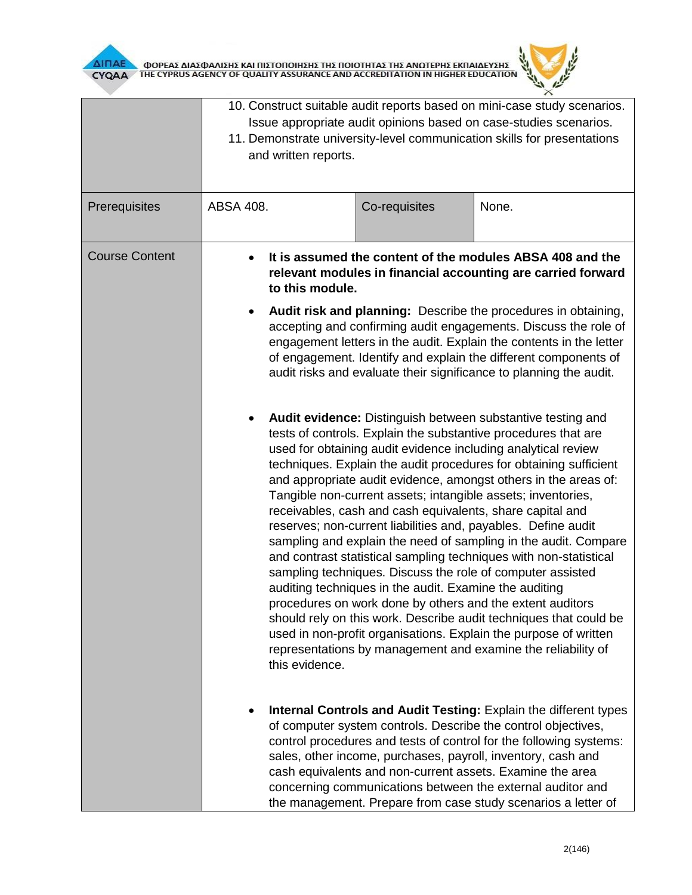



|                       | 10. Construct suitable audit reports based on mini-case study scenarios.<br>Issue appropriate audit opinions based on case-studies scenarios.<br>11. Demonstrate university-level communication skills for presentations<br>and written reports.                                                                                                                                                                            |                                                                                                                                                                                                                                                                                                                                                                                                                                                                                                                                                                                                                                                                                                                                                                                                                                                                                                                                                                                                                                                                                                                                                  |                                                                                                                                                                                                                                                                                                                                                                                                                                                                     |
|-----------------------|-----------------------------------------------------------------------------------------------------------------------------------------------------------------------------------------------------------------------------------------------------------------------------------------------------------------------------------------------------------------------------------------------------------------------------|--------------------------------------------------------------------------------------------------------------------------------------------------------------------------------------------------------------------------------------------------------------------------------------------------------------------------------------------------------------------------------------------------------------------------------------------------------------------------------------------------------------------------------------------------------------------------------------------------------------------------------------------------------------------------------------------------------------------------------------------------------------------------------------------------------------------------------------------------------------------------------------------------------------------------------------------------------------------------------------------------------------------------------------------------------------------------------------------------------------------------------------------------|---------------------------------------------------------------------------------------------------------------------------------------------------------------------------------------------------------------------------------------------------------------------------------------------------------------------------------------------------------------------------------------------------------------------------------------------------------------------|
| Prerequisites         | ABSA 408.                                                                                                                                                                                                                                                                                                                                                                                                                   | Co-requisites                                                                                                                                                                                                                                                                                                                                                                                                                                                                                                                                                                                                                                                                                                                                                                                                                                                                                                                                                                                                                                                                                                                                    | None.                                                                                                                                                                                                                                                                                                                                                                                                                                                               |
| <b>Course Content</b> | It is assumed the content of the modules ABSA 408 and the<br>relevant modules in financial accounting are carried forward<br>to this module.<br>Audit risk and planning: Describe the procedures in obtaining,<br>accepting and confirming audit engagements. Discuss the role of<br>engagement letters in the audit. Explain the contents in the letter<br>of engagement. Identify and explain the different components of |                                                                                                                                                                                                                                                                                                                                                                                                                                                                                                                                                                                                                                                                                                                                                                                                                                                                                                                                                                                                                                                                                                                                                  |                                                                                                                                                                                                                                                                                                                                                                                                                                                                     |
|                       | this evidence.                                                                                                                                                                                                                                                                                                                                                                                                              | audit risks and evaluate their significance to planning the audit.<br>Audit evidence: Distinguish between substantive testing and<br>tests of controls. Explain the substantive procedures that are<br>used for obtaining audit evidence including analytical review<br>techniques. Explain the audit procedures for obtaining sufficient<br>and appropriate audit evidence, amongst others in the areas of:<br>Tangible non-current assets; intangible assets; inventories,<br>receivables, cash and cash equivalents, share capital and<br>reserves; non-current liabilities and, payables. Define audit<br>sampling and explain the need of sampling in the audit. Compare<br>and contrast statistical sampling techniques with non-statistical<br>sampling techniques. Discuss the role of computer assisted<br>auditing techniques in the audit. Examine the auditing<br>procedures on work done by others and the extent auditors<br>should rely on this work. Describe audit techniques that could be<br>used in non-profit organisations. Explain the purpose of written<br>representations by management and examine the reliability of |                                                                                                                                                                                                                                                                                                                                                                                                                                                                     |
|                       |                                                                                                                                                                                                                                                                                                                                                                                                                             |                                                                                                                                                                                                                                                                                                                                                                                                                                                                                                                                                                                                                                                                                                                                                                                                                                                                                                                                                                                                                                                                                                                                                  | Internal Controls and Audit Testing: Explain the different types<br>of computer system controls. Describe the control objectives,<br>control procedures and tests of control for the following systems:<br>sales, other income, purchases, payroll, inventory, cash and<br>cash equivalents and non-current assets. Examine the area<br>concerning communications between the external auditor and<br>the management. Prepare from case study scenarios a letter of |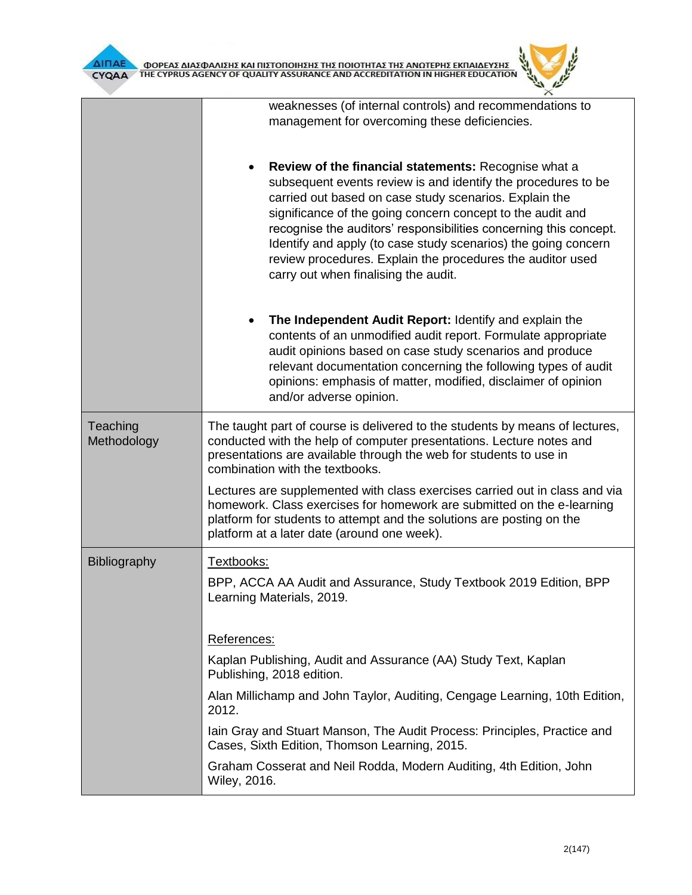